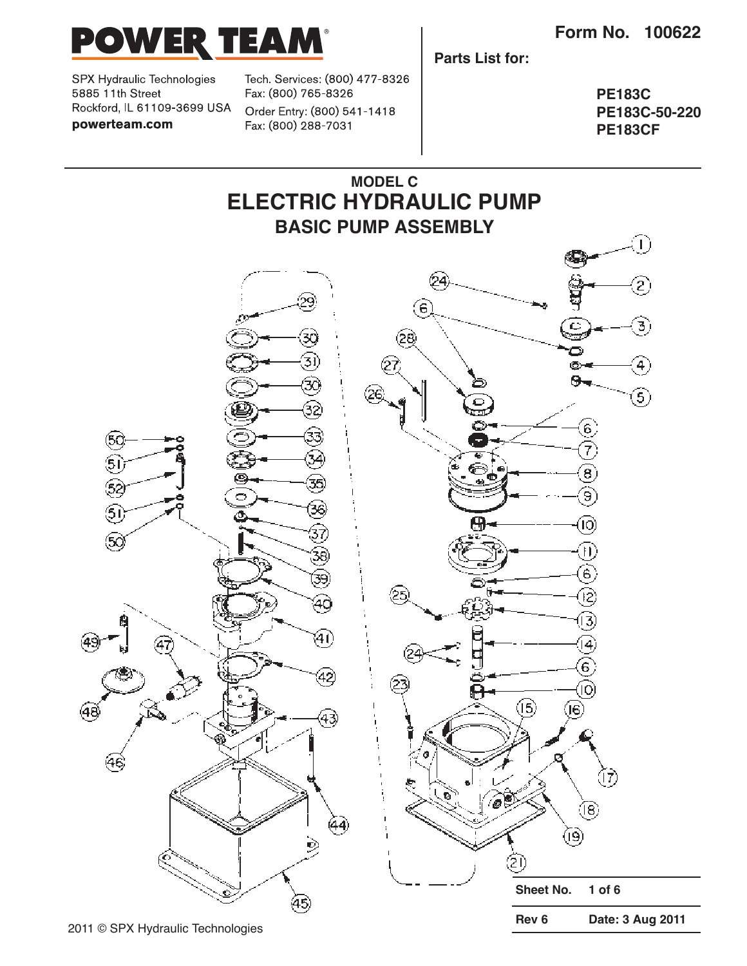

SPX Hydraulic Technologies 5885 11th Street Rockford, IL 61109-3699 USA powerteam.com

Tech. Services: (800) 477-8326 Fax: (800) 765-8326 Order Entry: (800) 541-1418 Fax: (800) 288-7031

**Parts List for:**

**PE183C PE183C-50-220 PE183CF**

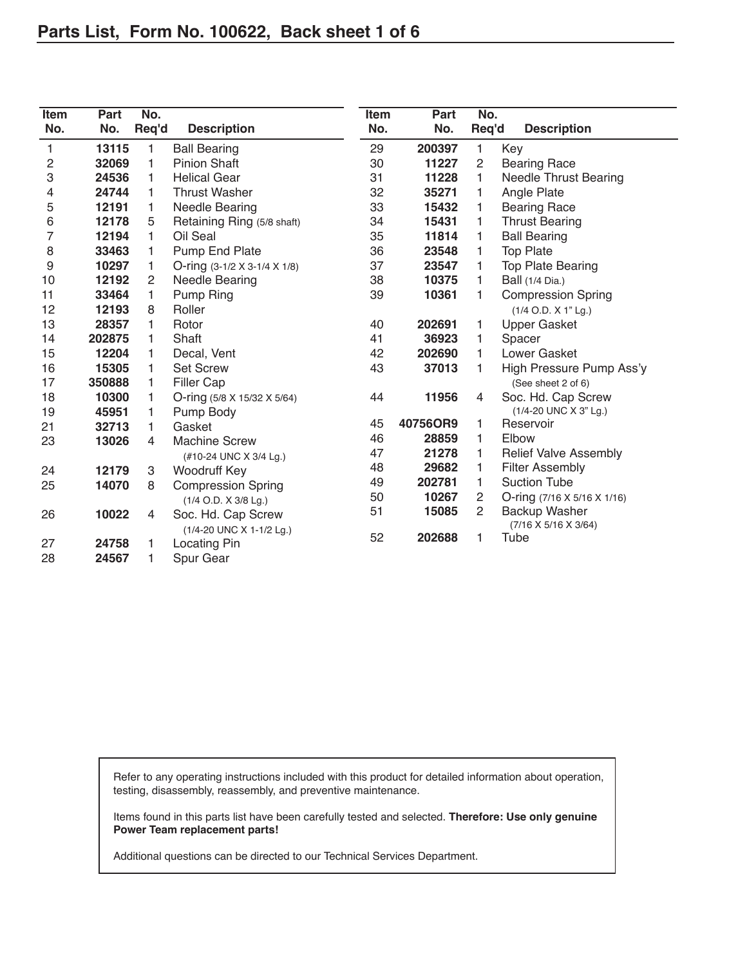| Item<br>No. | Part<br>No. | No.<br>Req'd | <b>Description</b>                     | Item<br>No. | Part<br>No. | No.<br>Req'd   | <b>Description</b>               |
|-------------|-------------|--------------|----------------------------------------|-------------|-------------|----------------|----------------------------------|
| 1           | 13115       | 1            | <b>Ball Bearing</b>                    | 29          | 200397      | 1              | Key                              |
| 2           | 32069       | 1            | <b>Pinion Shaft</b>                    | 30          | 11227       | $\overline{c}$ | <b>Bearing Race</b>              |
| 3           | 24536       | 1            | <b>Helical Gear</b>                    | 31          | 11228       | 1              | <b>Needle Thrust Bearing</b>     |
|             | 24744       | 1            | <b>Thrust Washer</b>                   | 32          | 35271       | 1              | Angle Plate                      |
| 4<br>5      | 12191       | 1            | <b>Needle Bearing</b>                  | 33          | 15432       | 1              | <b>Bearing Race</b>              |
|             | 12178       | 5            |                                        | 34          | 15431       | 1              |                                  |
| 6<br>7      |             |              | Retaining Ring (5/8 shaft)<br>Oil Seal |             |             |                | <b>Thrust Bearing</b>            |
|             | 12194       | 1            |                                        | 35          | 11814       | 1              | <b>Ball Bearing</b>              |
| 8           | 33463       | 1            | Pump End Plate                         | 36          | 23548       | 1              | <b>Top Plate</b>                 |
| 9           | 10297       | 1            | O-ring (3-1/2 X 3-1/4 X 1/8)           | 37          | 23547       | 1              | <b>Top Plate Bearing</b>         |
| 10          | 12192       | 2            | <b>Needle Bearing</b>                  | 38          | 10375       | 1              | <b>Ball</b> (1/4 Dia.)           |
| 11          | 33464       | 1            | Pump Ring                              | 39          | 10361       | 1              | <b>Compression Spring</b>        |
| 12          | 12193       | 8            | Roller                                 |             |             |                | (1/4 O.D. X 1" Lg.)              |
| 13          | 28357       | 1            | Rotor                                  | 40          | 202691      | 1              | <b>Upper Gasket</b>              |
| 14          | 202875      | 1            | Shaft                                  | 41          | 36923       | 1              | Spacer                           |
| 15          | 12204       | 1            | Decal, Vent                            | 42          | 202690      | 1              | Lower Gasket                     |
| 16          | 15305       | 1            | <b>Set Screw</b>                       | 43          | 37013       | 1              | High Pressure Pump Ass'y         |
| 17          | 350888      | 1            | <b>Filler Cap</b>                      |             |             |                | (See sheet 2 of 6)               |
| 18          | 10300       | 1            | O-ring (5/8 X 15/32 X 5/64)            | 44          | 11956       | 4              | Soc. Hd. Cap Screw               |
| 19          | 45951       | 1            | Pump Body                              |             |             |                | (1/4-20 UNC X 3" Lg.)            |
| 21          | 32713       | 1            | Gasket                                 | 45          | 40756OR9    | 1              | Reservoir                        |
| 23          | 13026       | 4            | <b>Machine Screw</b>                   | 46          | 28859       | 1              | Elbow                            |
|             |             |              | (#10-24 UNC X 3/4 Lg.)                 | 47          | 21278       | 1              | <b>Relief Valve Assembly</b>     |
| 24          | 12179       | 3            | Woodruff Key                           | 48          | 29682       | 1              | <b>Filter Assembly</b>           |
| 25          | 14070       | 8            | <b>Compression Spring</b>              | 49          | 202781      | 1              | <b>Suction Tube</b>              |
|             |             |              | (1/4 O.D. X 3/8 Lg.)                   | 50          | 10267       | $\overline{c}$ | O-ring (7/16 X 5/16 X 1/16)      |
| 26          | 10022       | 4            | Soc. Hd. Cap Screw                     | 51          | 15085       | $\overline{c}$ | <b>Backup Washer</b>             |
|             |             |              | (1/4-20 UNC X 1-1/2 Lg.)               |             |             |                | $(7/16 \times 5/16 \times 3/64)$ |
| 27          | 24758       | 1            | Locating Pin                           | 52          | 202688      | 1              | Tube                             |
| 28          | 24567       | 1            | Spur Gear                              |             |             |                |                                  |

Refer to any operating instructions included with this product for detailed information about operation, testing, disassembly, reassembly, and preventive maintenance.

Items found in this parts list have been carefully tested and selected. **Therefore: Use only genuine Power Team replacement parts!**

Additional questions can be directed to our Technical Services Department.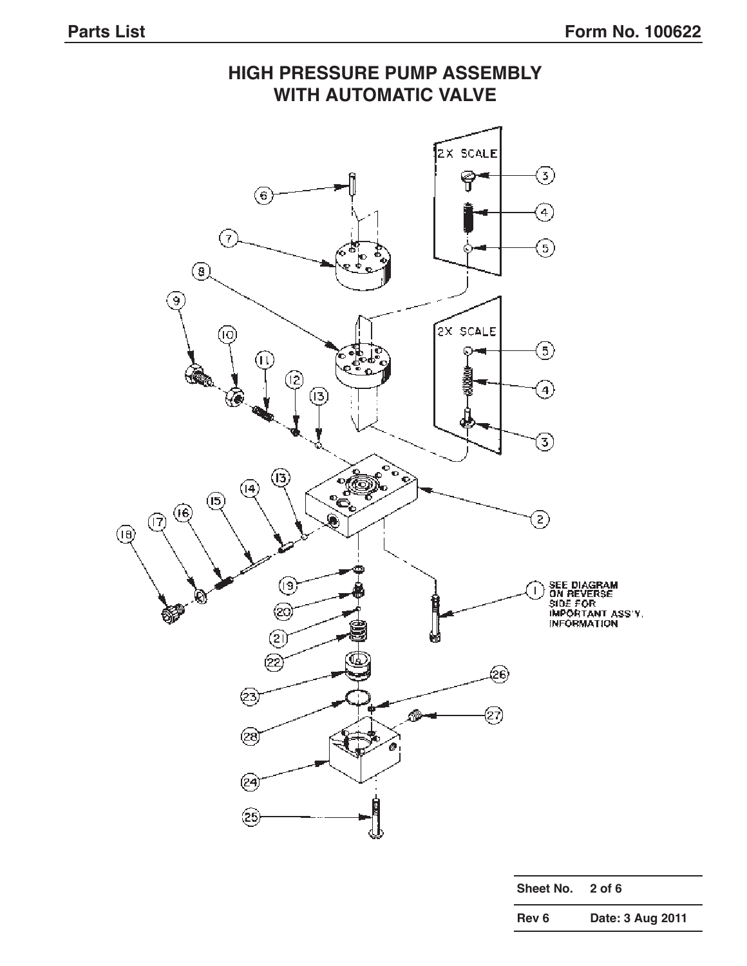### **HIGH PRESSURE PUMP ASSEMBLY WITH AUTOMATIC VALVE**2X SCALE ☉ 유  $\circledast$ ⊕ ⊘ 9  $\circledcirc$ ်၍ 2X SCALE (IO) ෛ G (U) ☺  $\mathcal{A})$  $\circledR$ 3) ශ  $\left( 4\right)$  $\circledB$ (6) ව (ମି) ⑭ SEE DIAGRAM<br>ON REVERSE<br>SIDE FOR<br>IMPORTANT ASS'Y.<br>INFORMATION ⊛  $\mathbf{I}$ @ ② ඏ @ ඏ 27) 28) (24) @

**Sheet No. 2 of 6 Rev 6 Date: 3 Aug 2011**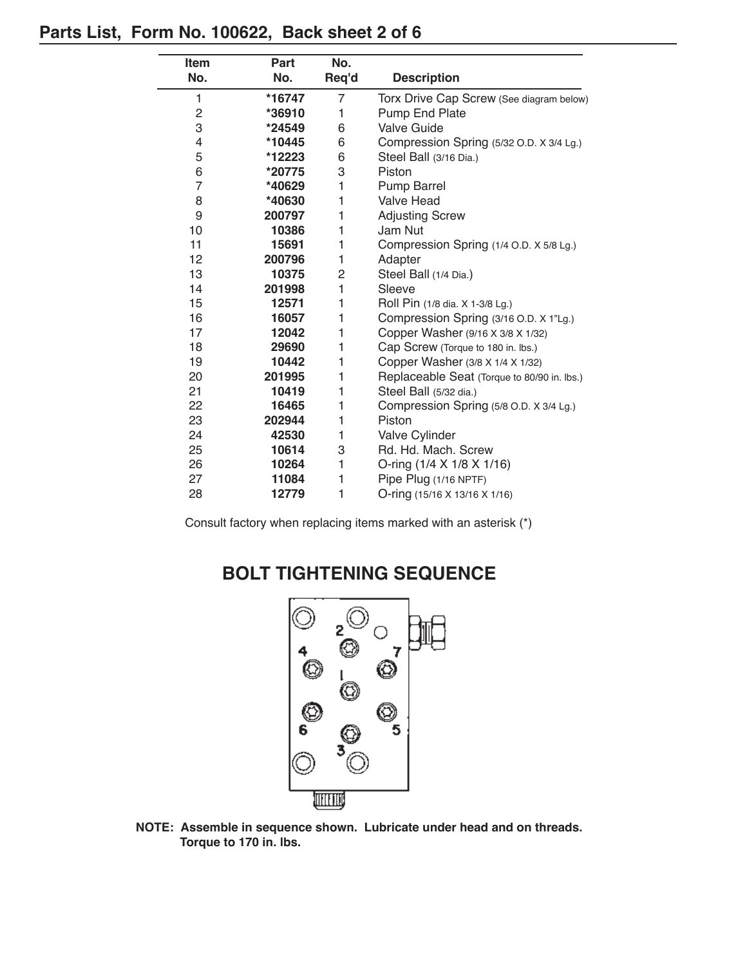#### **Parts List, Form No. 100622, Back sheet 2 of 6**

| Item<br>No.             | Part<br>No. | No.<br>Req'd   | <b>Description</b>                          |  |
|-------------------------|-------------|----------------|---------------------------------------------|--|
|                         |             |                |                                             |  |
| 1                       | *16747      | $\overline{7}$ | Torx Drive Cap Screw (See diagram below)    |  |
| $\overline{\mathbf{c}}$ | *36910      | 1              | <b>Pump End Plate</b>                       |  |
| 3                       | *24549      | 6              | <b>Valve Guide</b>                          |  |
| 4                       | *10445      | 6              | Compression Spring (5/32 O.D. X 3/4 Lg.)    |  |
| 5                       | *12223      | 6              | Steel Ball (3/16 Dia.)                      |  |
| 6                       | *20775      | 3              | Piston                                      |  |
| $\overline{7}$          | *40629      | 1              | <b>Pump Barrel</b>                          |  |
| 8                       | *40630      | 1              | <b>Valve Head</b>                           |  |
| 9                       | 200797      | 1              | <b>Adjusting Screw</b>                      |  |
| 10                      | 10386       | 1              | Jam Nut                                     |  |
| 11                      | 15691       | 1              | Compression Spring (1/4 O.D. X 5/8 Lg.)     |  |
| 12                      | 200796      | 1              | Adapter                                     |  |
| 13                      | 10375       | $\overline{c}$ | Steel Ball (1/4 Dia.)                       |  |
| 14                      | 201998      | 1              | Sleeve                                      |  |
| 15                      | 12571       | 1              | Roll Pin (1/8 dia. X 1-3/8 Lg.)             |  |
| 16                      | 16057       | 1              | Compression Spring (3/16 O.D. X 1"Lg.)      |  |
| 17                      | 12042       | 1              | Copper Washer (9/16 X 3/8 X 1/32)           |  |
| 18                      | 29690       | 1              | Cap Screw (Torque to 180 in. lbs.)          |  |
| 19                      | 10442       | 1              | Copper Washer (3/8 X 1/4 X 1/32)            |  |
| 20                      | 201995      | 1              | Replaceable Seat (Torque to 80/90 in. lbs.) |  |
| 21                      | 10419       | 1              | Steel Ball (5/32 dia.)                      |  |
| 22                      | 16465       | 1              | Compression Spring (5/8 O.D. X 3/4 Lg.)     |  |
| 23                      | 202944      | 1              | Piston                                      |  |
| 24                      | 42530       | 1              | Valve Cylinder                              |  |
| 25                      | 10614       | 3              | Rd. Hd. Mach. Screw                         |  |
| 26                      | 10264       | 1              | O-ring (1/4 X 1/8 X 1/16)                   |  |
| 27                      | 11084       | 1              | Pipe Plug (1/16 NPTF)                       |  |
| 28                      | 12779       | 1              | O-ring (15/16 X 13/16 X 1/16)               |  |

Consult factory when replacing items marked with an asterisk (\*)

## **BOLT TIGHTENING SEQUENCE**



**NOTE: Assemble in sequence shown. Lubricate under head and on threads. Torque to 170 in. lbs.**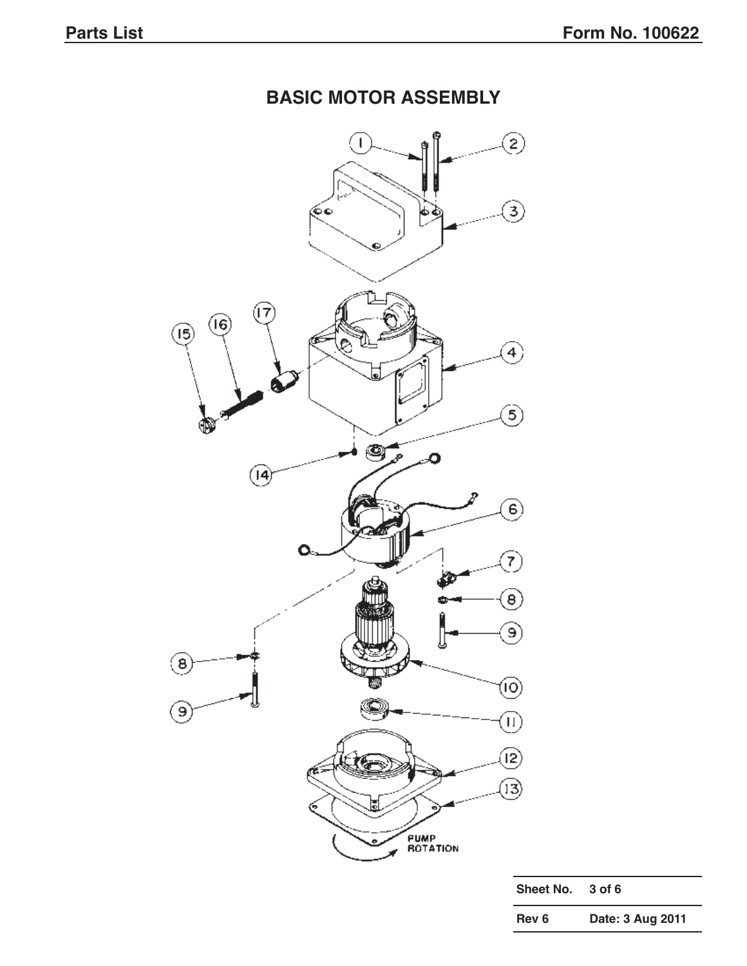# **BASIC MOTOR ASSEMBLY**



| Sheet No. | $3$ of 6         |
|-----------|------------------|
| Rev 6     | Date: 3 Aug 2011 |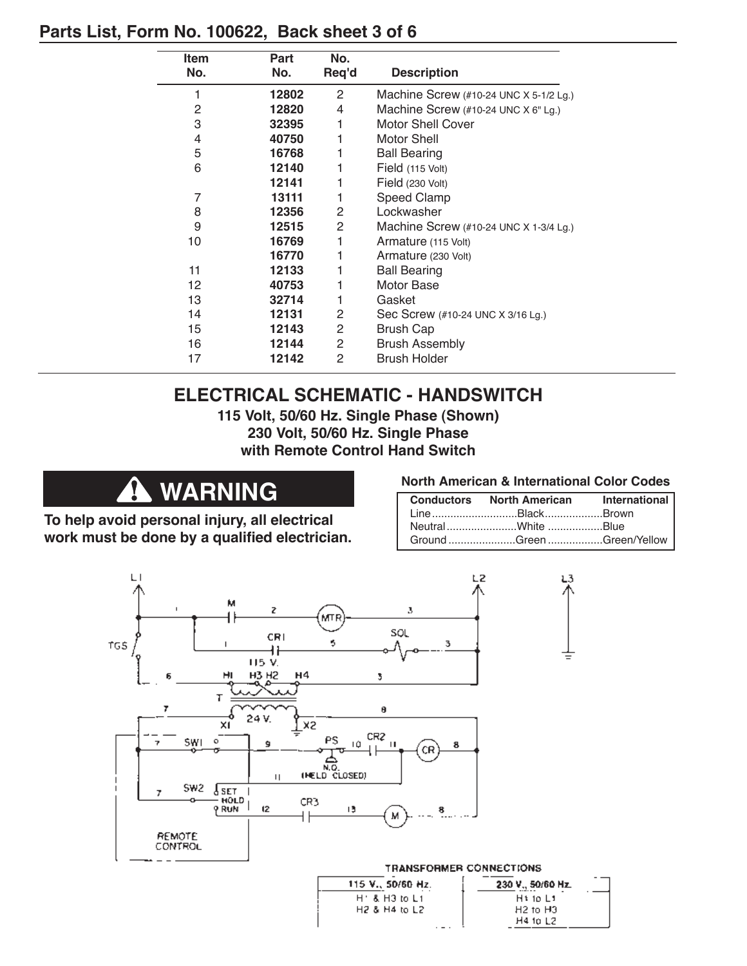### **Parts List, Form No. 100622, Back sheet 3 of 6**

| Item            | Part  | No.            |                                                                |
|-----------------|-------|----------------|----------------------------------------------------------------|
| No.             | No.   | Req'd          | <b>Description</b>                                             |
| 1               | 12802 | $\overline{2}$ | Machine Screw $(\#10-24 \text{ UNC} \times 5-1/2 \text{ Lg.})$ |
| 2               | 12820 | 4              | Machine Screw (#10-24 UNC X 6" Lg.)                            |
| 3               | 32395 |                | <b>Motor Shell Cover</b>                                       |
| 4               | 40750 |                | <b>Motor Shell</b>                                             |
| 5               | 16768 |                | <b>Ball Bearing</b>                                            |
| 6               | 12140 |                | Field (115 Volt)                                               |
|                 | 12141 |                | Field (230 Volt)                                               |
| 7               | 13111 |                | Speed Clamp                                                    |
| 8               | 12356 | $\overline{2}$ | Lockwasher                                                     |
| 9               | 12515 | 2              | Machine Screw (#10-24 UNC X 1-3/4 Lg.)                         |
| 10              | 16769 | 1              | Armature (115 Volt)                                            |
|                 | 16770 |                | Armature (230 Volt)                                            |
| 11              | 12133 |                | <b>Ball Bearing</b>                                            |
| 12 <sup>2</sup> | 40753 |                | Motor Base                                                     |
| 13              | 32714 |                | Gasket                                                         |
| 14              | 12131 | 2              | Sec Screw (#10-24 UNC X 3/16 Lg.)                              |
| 15              | 12143 | 2              | <b>Brush Cap</b>                                               |
| 16              | 12144 | 2              | <b>Brush Assembly</b>                                          |
| 17              | 12142 | 2              | <b>Brush Holder</b>                                            |

### **ELECTRICAL SCHEMATIC - HANDSWITCH**

**115 Volt, 50/60 Hz. Single Phase (Shown) 230 Volt, 50/60 Hz. Single Phase with Remote Control Hand Switch**

#### $\mathbf{A}$ **WARNING**

**To help avoid personal injury, all electrical work must be done by a qualified electrician.**

**North American & International Color Codes** л

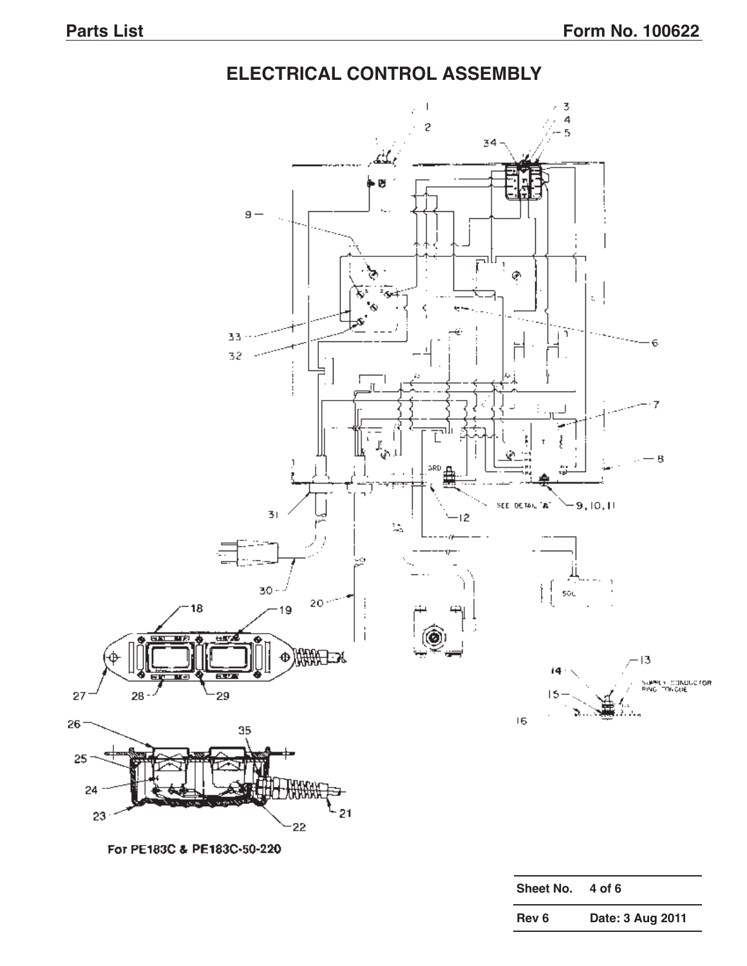### **ELECTRICAL CONTROL ASSEMBLY**

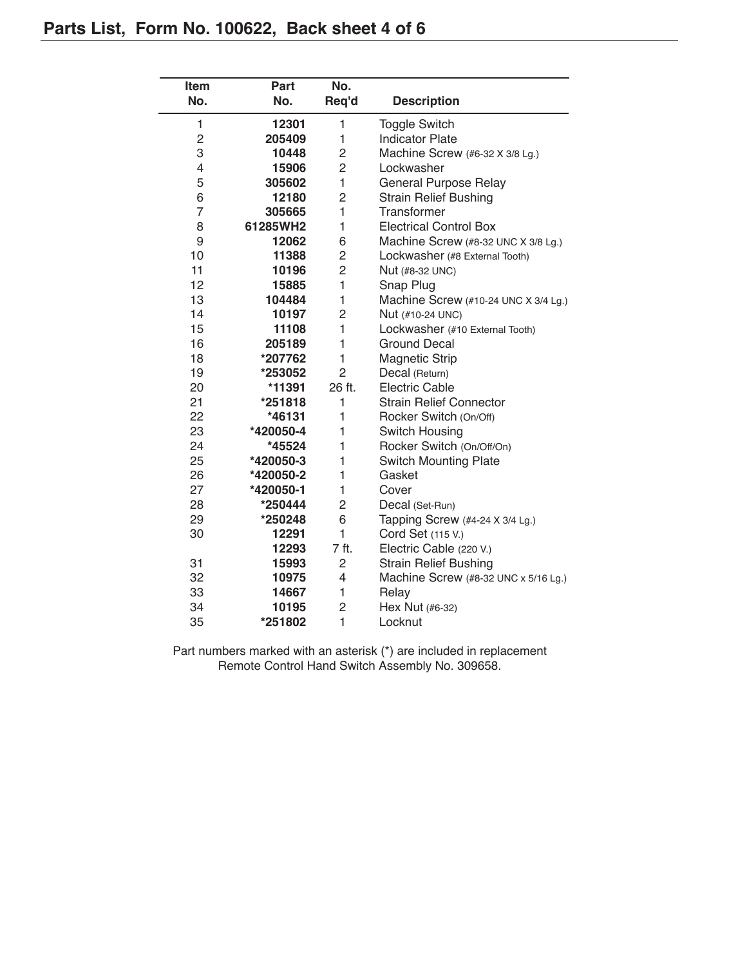| <b>Item</b>    | Part      | No.            |                                      |  |
|----------------|-----------|----------------|--------------------------------------|--|
| No.            | No.       | Req'd          | <b>Description</b>                   |  |
| 1              | 12301     | 1              | <b>Toggle Switch</b>                 |  |
| $\overline{c}$ | 205409    | 1              | <b>Indicator Plate</b>               |  |
| 3              | 10448     | 2              | Machine Screw (#6-32 X 3/8 Lg.)      |  |
| $\overline{4}$ | 15906     | $\overline{c}$ | Lockwasher                           |  |
| 5              | 305602    | $\mathbf{1}$   | <b>General Purpose Relay</b>         |  |
| 6              | 12180     | $\overline{2}$ | <b>Strain Relief Bushing</b>         |  |
| $\overline{7}$ | 305665    | $\mathbf{1}$   | Transformer                          |  |
| 8              | 61285WH2  | 1              | <b>Electrical Control Box</b>        |  |
| 9              | 12062     | 6              | Machine Screw (#8-32 UNC X 3/8 Lg.)  |  |
| 10             | 11388     | $\overline{c}$ | Lockwasher (#8 External Tooth)       |  |
| 11             | 10196     | $\overline{c}$ | Nut (#8-32 UNC)                      |  |
| 12             | 15885     | $\mathbf{1}$   | Snap Plug                            |  |
| 13             | 104484    | 1              | Machine Screw (#10-24 UNC X 3/4 Lg.) |  |
| 14             | 10197     | $\overline{2}$ | Nut (#10-24 UNC)                     |  |
| 15             | 11108     | $\mathbf{1}$   | Lockwasher (#10 External Tooth)      |  |
| 16             | 205189    | 1              | <b>Ground Decal</b>                  |  |
| 18             | *207762   | $\mathbf{1}$   | <b>Magnetic Strip</b>                |  |
| 19             | *253052   | $\overline{2}$ | Decal (Return)                       |  |
| 20             | *11391    | 26 ft.         | <b>Electric Cable</b>                |  |
| 21             | *251818   | 1              | <b>Strain Relief Connector</b>       |  |
| 22             | *46131    | $\mathbf{1}$   | Rocker Switch (On/Off)               |  |
| 23             | *420050-4 | 1              | Switch Housing                       |  |
| 24             | *45524    | $\mathbf{1}$   | Rocker Switch (On/Off/On)            |  |
| 25             | *420050-3 | 1              | <b>Switch Mounting Plate</b>         |  |
| 26             | *420050-2 | 1              | Gasket                               |  |
| 27             | *420050-1 | 1              | Cover                                |  |
| 28             | *250444   | $\overline{c}$ | Decal (Set-Run)                      |  |
| 29             | *250248   | 6              | Tapping Screw (#4-24 X 3/4 Lg.)      |  |
| 30             | 12291     | $\mathbf{1}$   | Cord Set (115 V.)                    |  |
|                | 12293     | 7 ft.          | Electric Cable (220 V.)              |  |
| 31             | 15993     | 2              | <b>Strain Relief Bushing</b>         |  |
| 32             | 10975     | 4              | Machine Screw (#8-32 UNC x 5/16 Lg.) |  |
| 33             | 14667     | 1              | Relay                                |  |
| 34             | 10195     | 2              | Hex Nut (#6-32)                      |  |
| 35             | *251802   | $\mathbf{1}$   | Locknut                              |  |

Part numbers marked with an asterisk (\*) are included in replacement Remote Control Hand Switch Assembly No. 309658.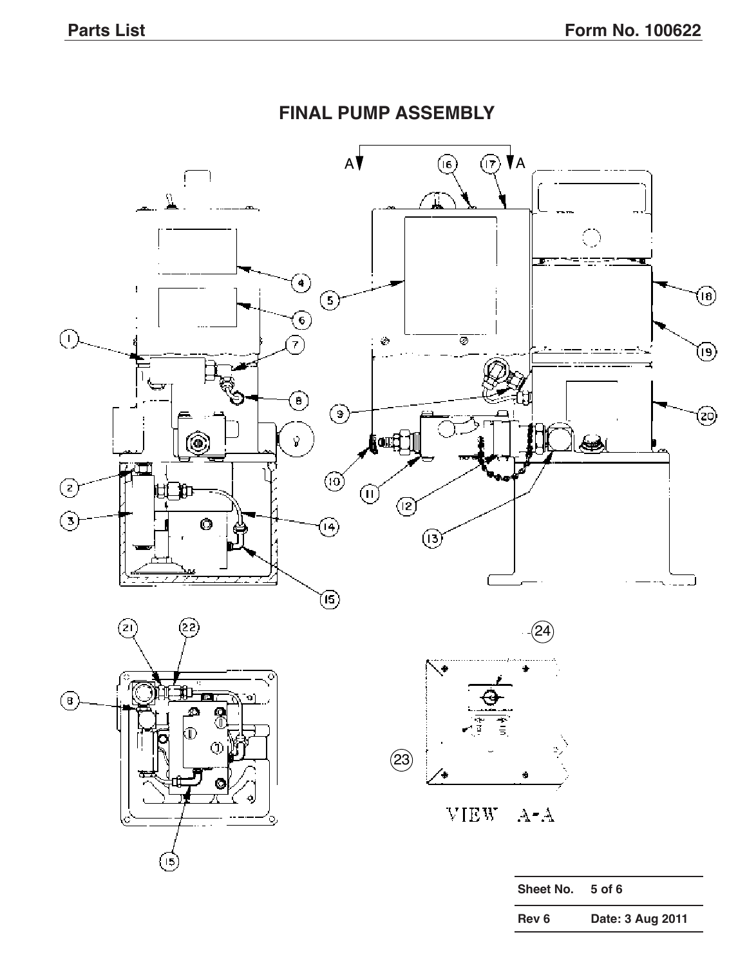

### **FINAL PUMP ASSEMBLY**

**Rev 6 Date: 3 Aug 2011**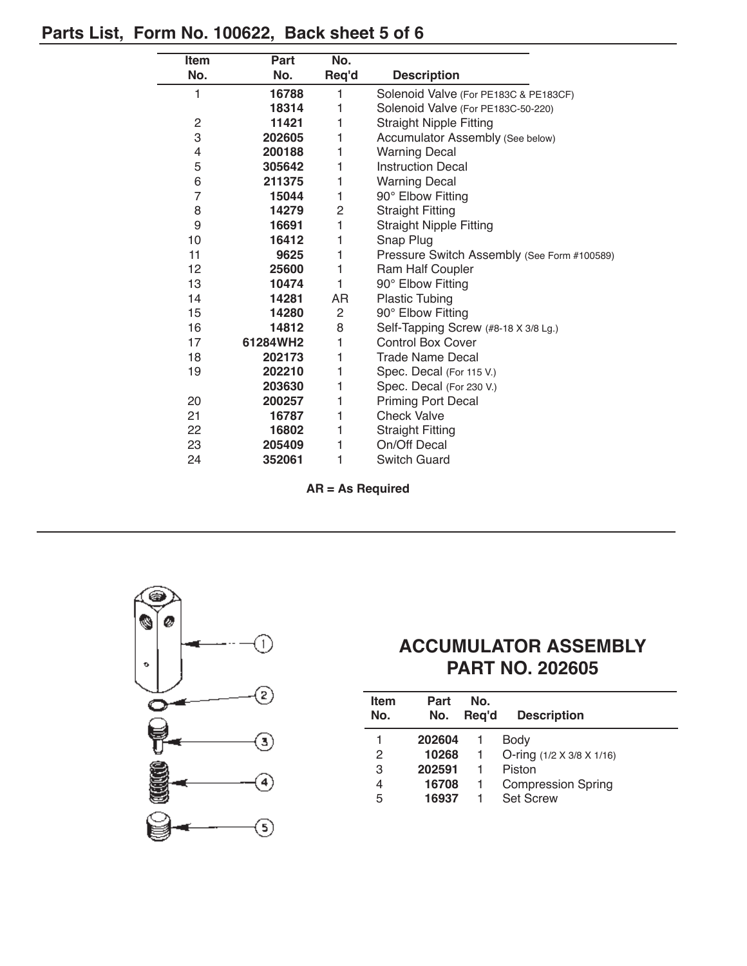## **Parts List, Form No. 100622, Back sheet 5 of 6**

| <b>Item</b>  | Part     | No.            |                                             |  |
|--------------|----------|----------------|---------------------------------------------|--|
| No.          | No.      | Req'd          | <b>Description</b>                          |  |
| 1            | 16788    | 1              | Solenoid Valve (For PE183C & PE183CF)       |  |
|              | 18314    | 1              | Solenoid Valve (For PE183C-50-220)          |  |
| $\mathbf{2}$ | 11421    | 1              | <b>Straight Nipple Fitting</b>              |  |
| 3            | 202605   | 1              | Accumulator Assembly (See below)            |  |
| 4            | 200188   | 1              | <b>Warning Decal</b>                        |  |
| 5            | 305642   | 1              | <b>Instruction Decal</b>                    |  |
| 6            | 211375   | 1              | <b>Warning Decal</b>                        |  |
| 7            | 15044    | 1              | 90° Elbow Fitting                           |  |
| 8            | 14279    | $\overline{c}$ | <b>Straight Fitting</b>                     |  |
| 9            | 16691    | 1              | <b>Straight Nipple Fitting</b>              |  |
| 10           | 16412    | 1              | Snap Plug                                   |  |
| 11           | 9625     | 1              | Pressure Switch Assembly (See Form #100589) |  |
| 12           | 25600    | 1              | Ram Half Coupler                            |  |
| 13           | 10474    | 1              | 90° Elbow Fitting                           |  |
| 14           | 14281    | AR             | <b>Plastic Tubing</b>                       |  |
| 15           | 14280    | 2              | 90° Elbow Fitting                           |  |
| 16           | 14812    | 8              | Self-Tapping Screw (#8-18 X 3/8 Lg.)        |  |
| 17           | 61284WH2 | 1              | <b>Control Box Cover</b>                    |  |
| 18           | 202173   | 1              | <b>Trade Name Decal</b>                     |  |
| 19           | 202210   | 1              | Spec. Decal (For 115 V.)                    |  |
|              | 203630   | 1              | Spec. Decal (For 230 V.)                    |  |
| 20           | 200257   | 1              | <b>Priming Port Decal</b>                   |  |
| 21           | 16787    | 1              | <b>Check Valve</b>                          |  |
| 22           | 16802    | 1              | <b>Straight Fitting</b>                     |  |
| 23           | 205409   | 1              | On/Off Decal                                |  |
| 24           | 352061   | 1              | <b>Switch Guard</b>                         |  |

**AR = As Required**



## **ACCUMULATOR ASSEMBLY PART NO. 202605**

| <b>Item</b><br>No. | Part<br>No. | No.<br>Reg'd | <b>Description</b>        |
|--------------------|-------------|--------------|---------------------------|
|                    | 202604      |              | Body                      |
| 2                  | 10268       | $\mathbf{1}$ | O-ring (1/2 X 3/8 X 1/16) |
| 3                  | 202591      | -1           | Piston                    |
| 4                  | 16708       | -1           | <b>Compression Spring</b> |
| 5                  | 16937       |              | <b>Set Screw</b>          |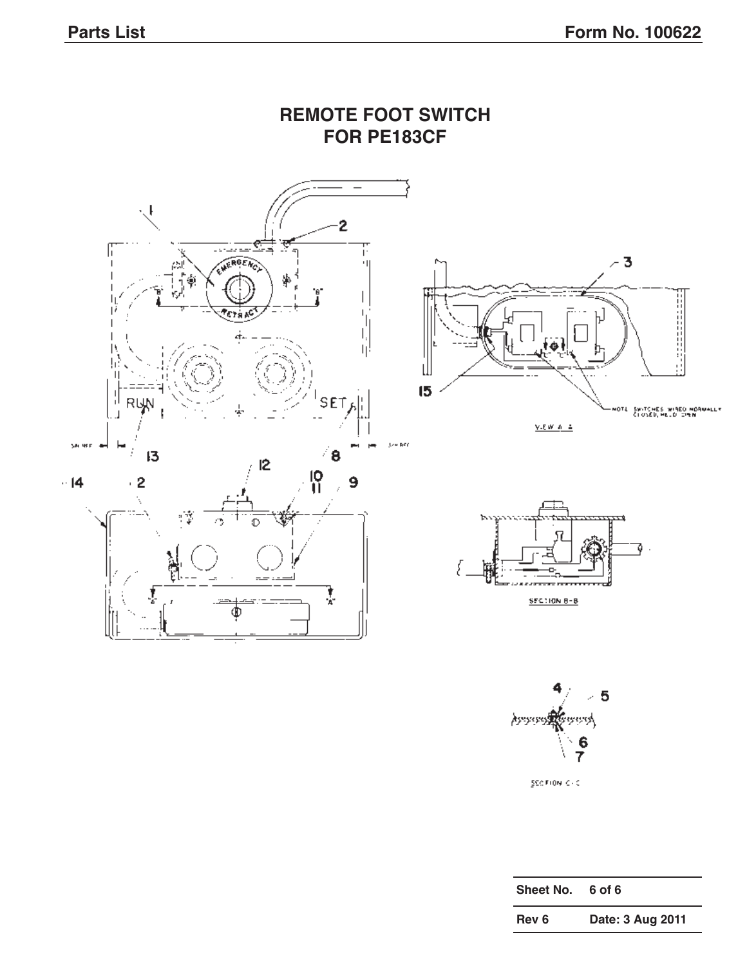

 $\geq 5$ **Assessment Co** ngungh  $\frac{6}{7}$ 

 $\texttt{SCCHON} \leq \cdot \texttt{C}$ 

| Sheet No. | 6 of 6           |
|-----------|------------------|
| Rev 6     | Date: 3 Aug 2011 |